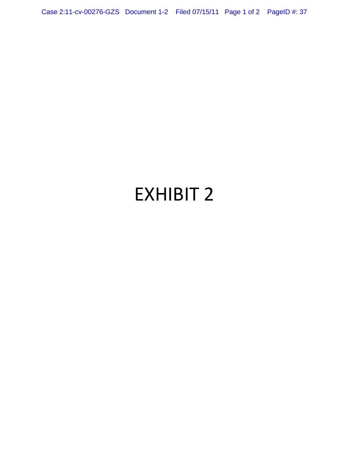Case 2:11-cv-00276-GZS Document 1-2 Filed 07/15/11 Page 1 of 2 PageID #: 37

## EXHIBIT 2